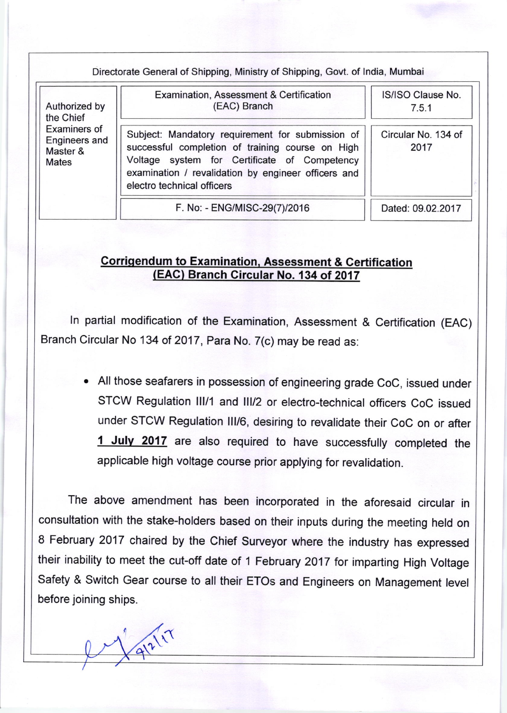Directorate General of Shipping, Ministry of Shipping, Govt. of lndia, Mumbai

| Authorized by<br>the Chief<br>Examiners of<br>Engineers and<br>Master &<br><b>Mates</b> | Examination, Assessment & Certification<br>(EAC) Branch                                                                                                                                                                                   | IS/ISO Clause No.<br>7.5.1  |
|-----------------------------------------------------------------------------------------|-------------------------------------------------------------------------------------------------------------------------------------------------------------------------------------------------------------------------------------------|-----------------------------|
|                                                                                         | Subject: Mandatory requirement for submission of<br>successful completion of training course on High<br>Voltage system for Certificate of Competency<br>examination / revalidation by engineer officers and<br>electro technical officers | Circular No. 134 of<br>2017 |
|                                                                                         | F. No: - ENG/MISC-29(7)/2016                                                                                                                                                                                                              | Dated: 09.02.2017           |

## Corrigendum to Examination, Assessment & Certification (EAG) Branch Gircular No. 134 of 2017

ln partial modification of the Examination, Assessment & Certification (EAC) Branch Circular No 134 of 2017, Para No. 7(c) may be read as:

. All those seafarers in possession of engineering grade coc, issued under STCW Regulation III/1 and III/2 or electro-technical officers CoC issued under STCW Regulation lll/6, desiring to revalidate their CoC on or after 1 July 2017 are also required to have successfully completed the applicable high voltage course prior applying for revalidation.

The above amendment has been incorporated in the aforesaid circular in consultation with the stake-holders based on their inputs during the meeting held on 8 February 2017 chaired by the chief surveyor where the industry has expressed their inability to meet the cut-off date of 1 February 2017 for imparting High Voltage safety & switch Gear course to all their ETos and Engineers on Management level before joining ships.

 $X_{91211}$